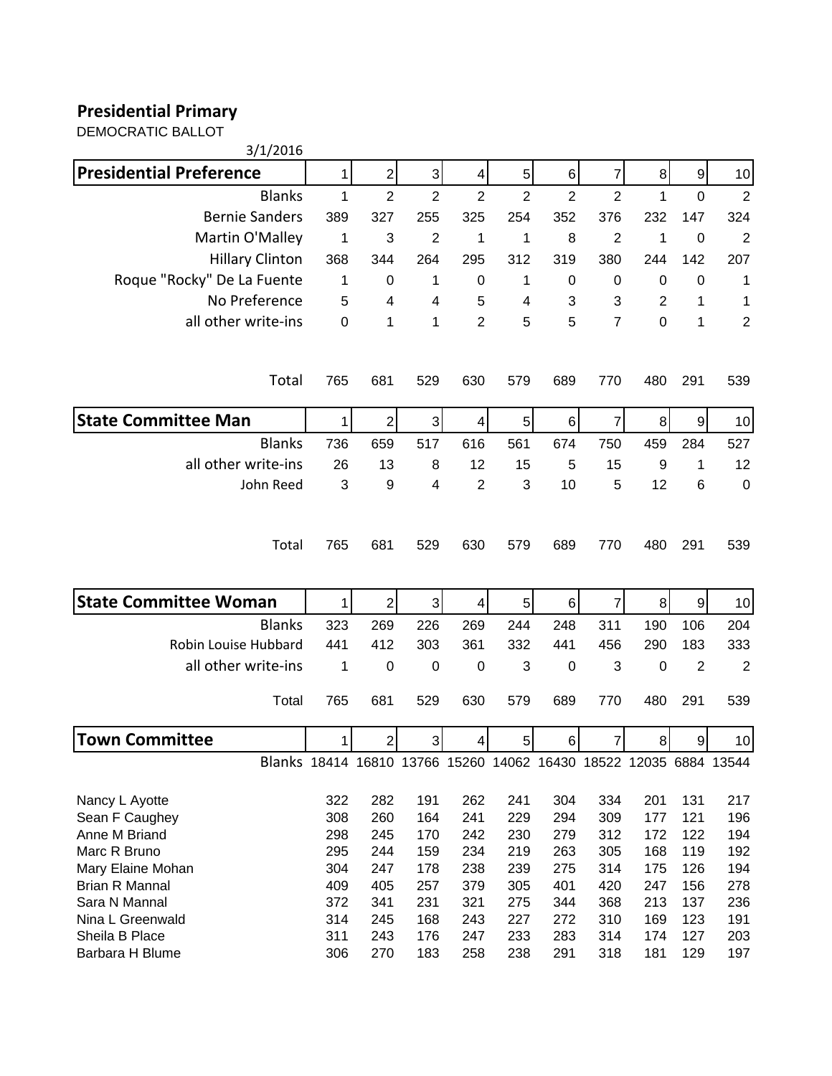## **Presidential Primary**

DEMOCRATIC BALLOT

| 3/1/2016                                                          |              |                |                |                |                |                |                |             |                |                  |
|-------------------------------------------------------------------|--------------|----------------|----------------|----------------|----------------|----------------|----------------|-------------|----------------|------------------|
| <b>Presidential Preference</b>                                    | 1            | $\overline{2}$ | 3              | 4              | 5              | 6              | 7              | $\bf 8$     | 9              | 10               |
| <b>Blanks</b>                                                     | $\mathbf{1}$ | $\overline{2}$ | $\overline{2}$ | $\overline{2}$ | $\overline{2}$ | $\overline{2}$ | $\overline{2}$ | 1           | $\overline{0}$ | $\overline{2}$   |
| <b>Bernie Sanders</b>                                             | 389          | 327            | 255            | 325            | 254            | 352            | 376            | 232         | 147            | 324              |
| Martin O'Malley                                                   | 1            | 3              | $\overline{2}$ | 1              | 1              | 8              | $\overline{2}$ | 1           | $\mathbf 0$    | $\overline{2}$   |
| <b>Hillary Clinton</b>                                            | 368          | 344            | 264            | 295            | 312            | 319            | 380            | 244         | 142            | 207              |
| Roque "Rocky" De La Fuente                                        | 1            | 0              | 1              | $\mathbf 0$    | 1              | 0              | $\mathbf 0$    | $\mathbf 0$ | 0              | 1                |
| No Preference                                                     | 5            | 4              | 4              | 5              | 4              | 3              | 3              | 2           | 1              | 1                |
| all other write-ins                                               | $\mathbf 0$  | 1              | 1              | $\overline{2}$ | 5              | 5              | $\overline{7}$ | 0           | 1              | $\overline{2}$   |
| Total                                                             | 765          | 681            | 529            | 630            | 579            | 689            | 770            | 480         | 291            | 539              |
| <b>State Committee Man</b>                                        | 1            | $\overline{2}$ | $\overline{3}$ | 4              | 5              | 6              | 7              | 8           | 9              | 10               |
| <b>Blanks</b>                                                     | 736          | 659            | 517            | 616            | 561            | 674            | 750            | 459         | 284            | 527              |
| all other write-ins                                               | 26           | 13             | 8              | 12             | 15             | 5              | 15             | 9           | 1              | 12               |
| John Reed                                                         | 3            | 9              | 4              | $\overline{2}$ | 3              | 10             | 5              | 12          | 6              | $\boldsymbol{0}$ |
| Total                                                             | 765          | 681            | 529            | 630            | 579            | 689            | 770            | 480         | 291            | 539              |
| <b>State Committee Woman</b>                                      | $\mathbf{1}$ | $\overline{2}$ | 3              | 4              | 5              | 6              | $\overline{7}$ | 8           | 9              | 10               |
| <b>Blanks</b>                                                     | 323          | 269            | 226            | 269            | 244            | 248            | 311            | 190         | 106            | 204              |
| Robin Louise Hubbard                                              | 441          | 412            | 303            | 361            | 332            | 441            | 456            | 290         | 183            | 333              |
| all other write-ins                                               | 1            | 0              | 0              | $\mathbf 0$    | 3              | $\mathbf 0$    | 3              | $\mathbf 0$ | $\overline{2}$ | $\overline{2}$   |
| Total                                                             | 765          | 681            | 529            | 630            | 579            | 689            | 770            | 480         | 291            | 539              |
| <b>Town Committee</b>                                             | 1            | 2              | 3              | 4              | 5              | 6              | 7              | 8           | 9              | 10               |
| Blanks 18414 16810 13766 15260 14062 16430 18522 12035 6884 13544 |              |                |                |                |                |                |                |             |                |                  |
| Nancy L Ayotte                                                    | 322          | 282            | 191            | 262            | 241            | 304            | 334            | 201         | 131            | 217              |
| Sean F Caughey                                                    | 308          | 260            | 164            | 241            | 229            | 294            | 309            | 177         | 121            | 196              |
| Anne M Briand                                                     | 298          | 245            | 170            | 242            | 230            | 279            | 312            | 172         | 122            | 194              |
| Marc R Bruno                                                      | 295          | 244            | 159            | 234            | 219            | 263            | 305            | 168         | 119            | 192              |
| Mary Elaine Mohan                                                 | 304          | 247            | 178            | 238            | 239            | 275            | 314            | 175         | 126            | 194              |
| Brian R Mannal                                                    | 409          | 405            | 257            | 379            | 305            | 401            | 420            | 247         | 156            | 278              |
| Sara N Mannal                                                     | 372          | 341            | 231            | 321            | 275            | 344            | 368            | 213         | 137            | 236              |
| Nina L Greenwald                                                  | 314          | 245            | 168            | 243            | 227            | 272            | 310            | 169         | 123            | 191              |
| Sheila B Place                                                    | 311          | 243            | 176            | 247            | 233            | 283            | 314            | 174         | 127            | 203              |
| Barbara H Blume                                                   | 306          | 270            | 183            | 258            | 238            | 291            | 318            | 181         | 129            | 197              |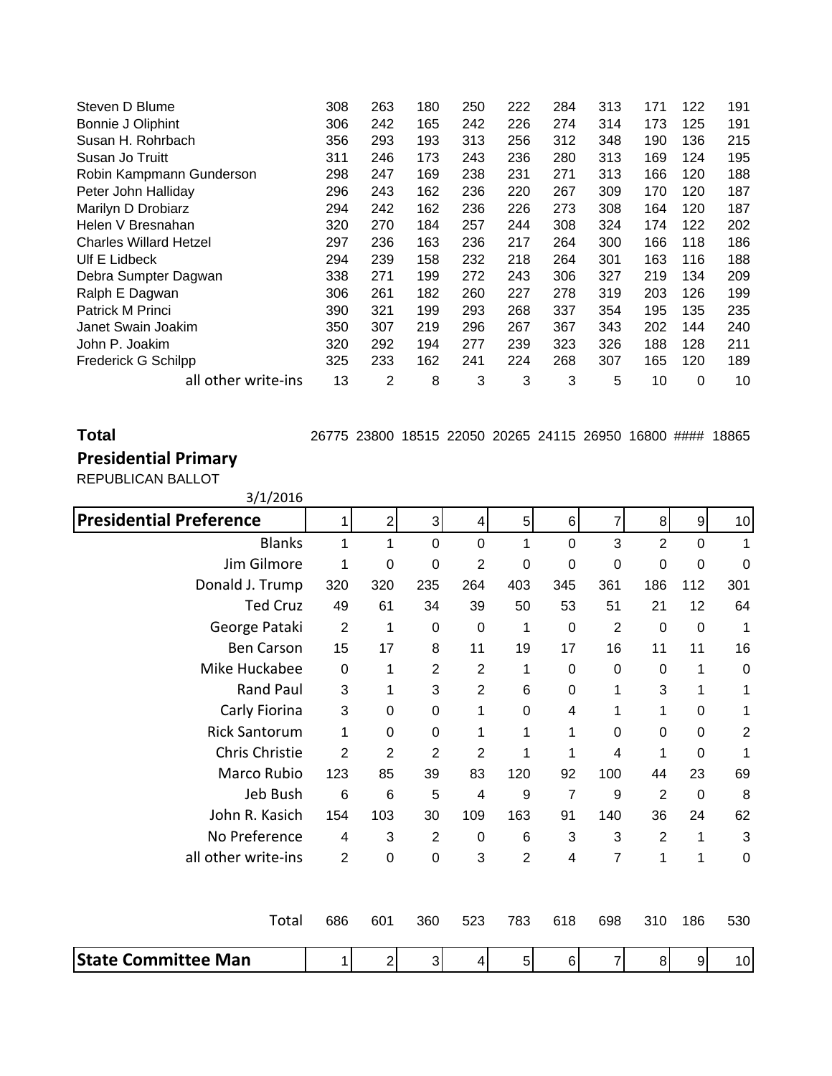| Steven D Blume                | 308 | 263 | 180 | 250 | 222 | 284 | 313 | 171 | 122 | 191 |
|-------------------------------|-----|-----|-----|-----|-----|-----|-----|-----|-----|-----|
| Bonnie J Oliphint             | 306 | 242 | 165 | 242 | 226 | 274 | 314 | 173 | 125 | 191 |
| Susan H. Rohrbach             | 356 | 293 | 193 | 313 | 256 | 312 | 348 | 190 | 136 | 215 |
| Susan Jo Truitt               | 311 | 246 | 173 | 243 | 236 | 280 | 313 | 169 | 124 | 195 |
| Robin Kampmann Gunderson      | 298 | 247 | 169 | 238 | 231 | 271 | 313 | 166 | 120 | 188 |
| Peter John Halliday           | 296 | 243 | 162 | 236 | 220 | 267 | 309 | 170 | 120 | 187 |
| Marilyn D Drobiarz            | 294 | 242 | 162 | 236 | 226 | 273 | 308 | 164 | 120 | 187 |
| Helen V Bresnahan             | 320 | 270 | 184 | 257 | 244 | 308 | 324 | 174 | 122 | 202 |
| <b>Charles Willard Hetzel</b> | 297 | 236 | 163 | 236 | 217 | 264 | 300 | 166 | 118 | 186 |
| Ulf E Lidbeck                 | 294 | 239 | 158 | 232 | 218 | 264 | 301 | 163 | 116 | 188 |
| Debra Sumpter Dagwan          | 338 | 271 | 199 | 272 | 243 | 306 | 327 | 219 | 134 | 209 |
| Ralph E Dagwan                | 306 | 261 | 182 | 260 | 227 | 278 | 319 | 203 | 126 | 199 |
| Patrick M Princi              | 390 | 321 | 199 | 293 | 268 | 337 | 354 | 195 | 135 | 235 |
| Janet Swain Joakim            | 350 | 307 | 219 | 296 | 267 | 367 | 343 | 202 | 144 | 240 |
| John P. Joakim                | 320 | 292 | 194 | 277 | 239 | 323 | 326 | 188 | 128 | 211 |
| <b>Frederick G Schilpp</b>    | 325 | 233 | 162 | 241 | 224 | 268 | 307 | 165 | 120 | 189 |
| all other write-ins           | 13  | 2   | 8   | 3   | 3   | 3   | 5   | 10  | 0   | 10  |

**Total** 26775 23800 18515 22050 20265 24115 26950 16800 #### 18865

## **Presidential Primary**

REPUBLICAN BALLOT

| 3/1/2016                       |                |                  |                  |                |                |                |                  |                |             |                |
|--------------------------------|----------------|------------------|------------------|----------------|----------------|----------------|------------------|----------------|-------------|----------------|
| <b>Presidential Preference</b> | 1              | $\overline{2}$   | 3                | 4              | 5              | 6              | 7                | 8 <sup>1</sup> | 9           | 10             |
| <b>Blanks</b>                  | 1              | 1                | $\Omega$         | $\Omega$       | 1              | $\Omega$       | 3                | $\overline{2}$ | $\Omega$    | 1              |
| Jim Gilmore                    | 1              | 0                | $\boldsymbol{0}$ | $\overline{2}$ | $\mathbf 0$    | $\mathbf 0$    | $\boldsymbol{0}$ | $\mathbf 0$    | 0           | 0              |
| Donald J. Trump                | 320            | 320              | 235              | 264            | 403            | 345            | 361              | 186            | 112         | 301            |
| <b>Ted Cruz</b>                | 49             | 61               | 34               | 39             | 50             | 53             | 51               | 21             | 12          | 64             |
| George Pataki                  | $\overline{2}$ | 1                | 0                | $\pmb{0}$      | 1              | $\mathbf 0$    | $\overline{2}$   | 0              | $\mathbf 0$ | 1              |
| <b>Ben Carson</b>              | 15             | 17               | 8                | 11             | 19             | 17             | 16               | 11             | 11          | 16             |
| Mike Huckabee                  | 0              | 1                | $\overline{2}$   | $\overline{2}$ | 1              | 0              | 0                | 0              | 1           | $\mathbf 0$    |
| Rand Paul                      | 3              | 1                | 3                | $\overline{2}$ | 6              | $\overline{0}$ | 1                | 3              | 1           | 1              |
| Carly Fiorina                  | 3              | 0                | $\Omega$         | 1              | $\Omega$       | 4              | 1                | 1              | $\Omega$    | 1              |
| <b>Rick Santorum</b>           | 1              | 0                | 0                | 1              | 1              | 1              | 0                | 0              | $\Omega$    | $\overline{2}$ |
| Chris Christie                 | $\overline{2}$ | $\overline{2}$   | $\overline{2}$   | $\overline{2}$ | 1              | 1              | 4                | 1              | 0           | 1              |
| Marco Rubio                    | 123            | 85               | 39               | 83             | 120            | 92             | 100              | 44             | 23          | 69             |
| Jeb Bush                       | 6              | $\,6$            | 5                | 4              | 9              | 7              | 9                | $\overline{2}$ | 0           | 8              |
| John R. Kasich                 | 154            | 103              | 30               | 109            | 163            | 91             | 140              | 36             | 24          | 62             |
| No Preference                  | 4              | 3                | $\overline{2}$   | $\pmb{0}$      | 6              | 3              | 3                | $\overline{2}$ | 1           | 3              |
| all other write-ins            | $\overline{2}$ | 0                | 0                | 3              | $\overline{2}$ | 4              | 7                | 1              | 1           | $\pmb{0}$      |
| Total                          | 686            | 601              | 360              | 523            | 783            | 618            | 698              | 310            | 186         | 530            |
| <b>State Committee Man</b>     |                | $\boldsymbol{2}$ | 3                | 4              | 5 <sup>1</sup> | $\,6$          | 7                | 8              | 9           | 10             |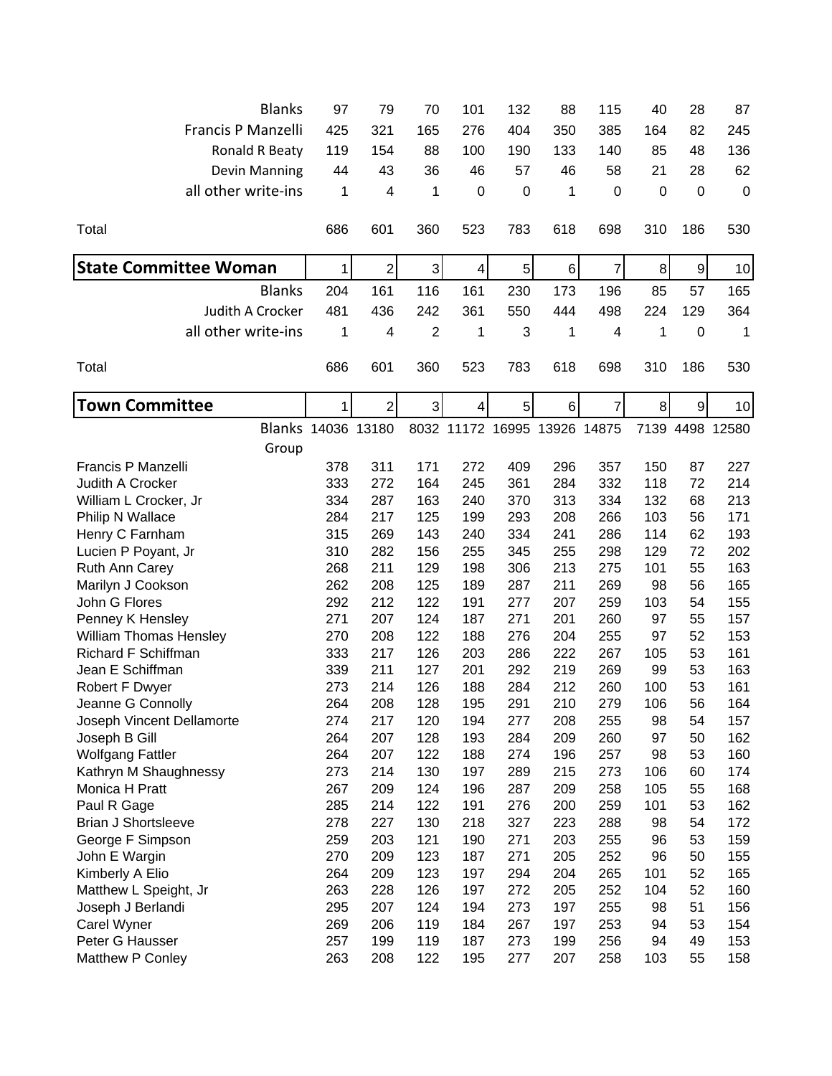| <b>Blanks</b>                | 97           | 79             | 70             | 101 | 132                          | 88  | 115         | 40  | 28             | 87              |
|------------------------------|--------------|----------------|----------------|-----|------------------------------|-----|-------------|-----|----------------|-----------------|
| Francis P Manzelli           | 425          | 321            | 165            | 276 | 404                          | 350 | 385         | 164 | 82             | 245             |
| Ronald R Beaty               | 119          | 154            | 88             | 100 | 190                          | 133 | 140         | 85  | 48             | 136             |
| Devin Manning                | 44           | 43             | 36             | 46  | 57                           | 46  | 58          | 21  | 28             | 62              |
|                              |              |                |                |     |                              |     |             |     |                |                 |
| all other write-ins          | 1            | 4              | 1              | 0   | $\boldsymbol{0}$             | 1   | $\mathbf 0$ | 0   | $\mathbf 0$    | $\mathbf 0$     |
| Total                        | 686          | 601            | 360            | 523 | 783                          | 618 | 698         | 310 | 186            | 530             |
| <b>State Committee Woman</b> | 1            | $\overline{2}$ | 3              | 4   | $\mathbf 5$                  | 6   | 7           | 8   | $\overline{9}$ | 10              |
| <b>Blanks</b>                | 204          | 161            | 116            | 161 | 230                          | 173 | 196         | 85  | 57             | 165             |
| Judith A Crocker             | 481          | 436            | 242            | 361 | 550                          | 444 | 498         | 224 | 129            | 364             |
| all other write-ins          | 1            | 4              | $\overline{2}$ | 1   | 3                            | 1   | 4           | 1   | $\mathbf 0$    | 1               |
| Total                        | 686          | 601            | 360            | 523 | 783                          | 618 | 698         | 310 | 186            | 530             |
|                              |              |                |                |     |                              |     |             |     |                |                 |
| <b>Town Committee</b>        | $\mathbf{1}$ | $\overline{2}$ | 3              | 4   | 5                            | 6   | 7           | 8   | 9              | 10              |
| Blanks 14036 13180           |              |                |                |     | 8032 11172 16995 13926 14875 |     |             |     |                | 7139 4498 12580 |
| Group                        |              |                |                |     |                              |     |             |     |                |                 |
| Francis P Manzelli           | 378          | 311            | 171            | 272 | 409                          | 296 | 357         | 150 | 87             | 227             |
| Judith A Crocker             | 333          | 272            | 164            | 245 | 361                          | 284 | 332         | 118 | 72             | 214             |
| William L Crocker, Jr        | 334          | 287            | 163            | 240 | 370                          | 313 | 334         | 132 | 68             | 213             |
| Philip N Wallace             | 284          | 217            | 125            | 199 | 293                          | 208 | 266         | 103 | 56             | 171             |
| Henry C Farnham              | 315          | 269            | 143            | 240 | 334                          | 241 | 286         | 114 | 62             | 193             |
| Lucien P Poyant, Jr          | 310          | 282            | 156            | 255 | 345                          | 255 | 298         | 129 | 72             | 202             |
| Ruth Ann Carey               | 268          | 211            | 129            | 198 | 306                          | 213 | 275         | 101 | 55             | 163             |
| Marilyn J Cookson            | 262          | 208            | 125            | 189 | 287                          | 211 | 269         | 98  | 56             | 165             |
| John G Flores                | 292          | 212            | 122            | 191 | 277                          | 207 | 259         | 103 | 54             | 155             |
| Penney K Hensley             | 271          | 207            | 124            | 187 | 271                          | 201 | 260         | 97  | 55             | 157             |
| William Thomas Hensley       | 270          | 208            | 122            | 188 | 276                          | 204 | 255         | 97  | 52             | 153             |
| <b>Richard F Schiffman</b>   | 333          | 217            | 126            | 203 | 286                          | 222 | 267         | 105 | 53             | 161             |
| Jean E Schiffman             | 339          | 211            | 127            | 201 | 292                          | 219 | 269         | 99  | 53             | 163             |
| Robert F Dwyer               | 273          | 214            | 126            | 188 | 284                          | 212 | 260         | 100 | 53             | 161             |
| Jeanne G Connolly            | 264          | 208            | 128            | 195 | 291                          | 210 | 279         | 106 | 56             | 164             |
| Joseph Vincent Dellamorte    | 274          | 217            | 120            | 194 | 277                          | 208 | 255         | 98  | 54             | 157             |
| Joseph B Gill                | 264          | 207            | 128            | 193 | 284                          | 209 | 260         | 97  | 50             | 162             |
| <b>Wolfgang Fattler</b>      | 264          | 207            | 122            | 188 | 274                          | 196 | 257         | 98  | 53             | 160             |
| Kathryn M Shaughnessy        | 273          | 214            | 130            | 197 | 289                          | 215 | 273         | 106 | 60             | 174             |
| Monica H Pratt               | 267          | 209            | 124            | 196 | 287                          | 209 | 258         | 105 | 55             | 168             |
| Paul R Gage                  | 285          | 214            | 122            | 191 | 276                          | 200 | 259         | 101 | 53             | 162             |
| <b>Brian J Shortsleeve</b>   | 278          | 227            | 130            | 218 | 327                          | 223 | 288         | 98  | 54             | 172             |
| George F Simpson             | 259          | 203            | 121            | 190 | 271                          | 203 | 255         | 96  | 53             | 159             |
| John E Wargin                | 270          | 209            | 123            | 187 | 271                          | 205 | 252         | 96  | 50             | 155             |
| Kimberly A Elio              | 264          | 209            | 123            | 197 | 294                          | 204 | 265         | 101 | 52             | 165             |
| Matthew L Speight, Jr        | 263          | 228            | 126            | 197 | 272                          | 205 | 252         | 104 | 52             | 160             |
| Joseph J Berlandi            | 295          | 207            | 124            | 194 | 273                          | 197 | 255         | 98  | 51             | 156             |
| Carel Wyner                  | 269          | 206            | 119            | 184 | 267                          | 197 | 253         | 94  | 53             | 154             |
| Peter G Hausser              | 257          | 199            | 119            | 187 | 273                          | 199 | 256         | 94  | 49             | 153             |
| Matthew P Conley             | 263          | 208            | 122            | 195 | 277                          | 207 | 258         | 103 | 55             | 158             |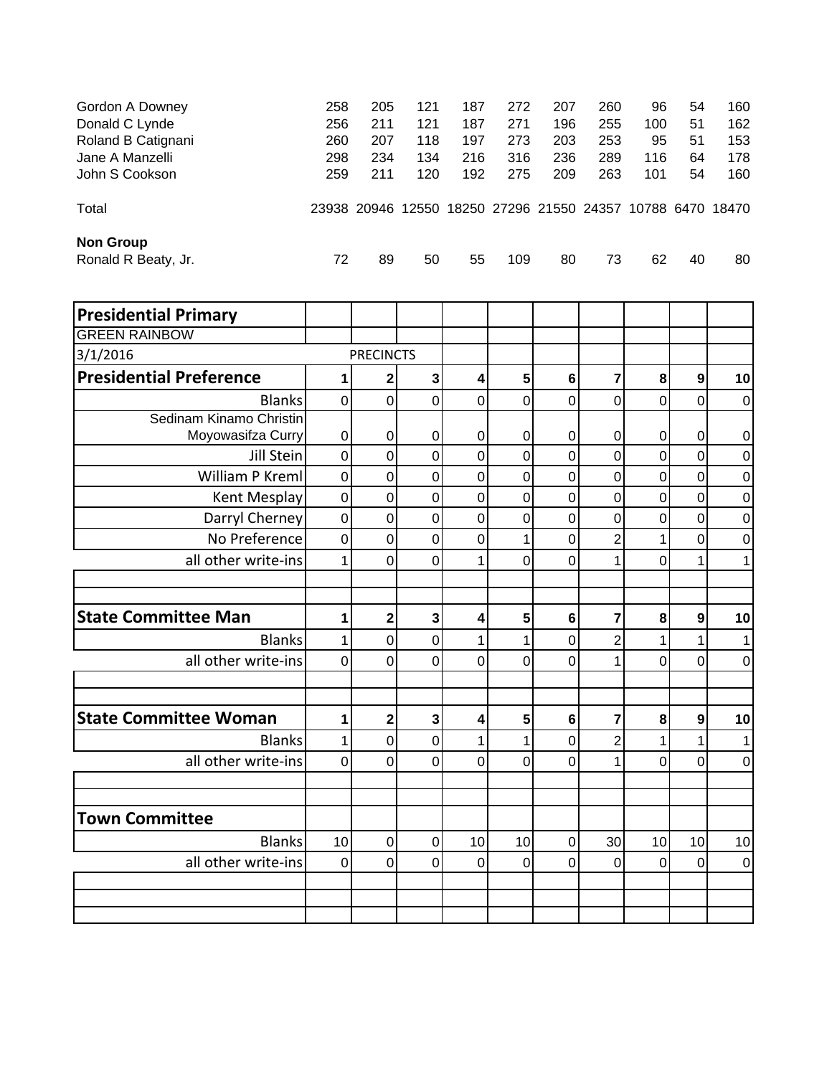| Gordon A Downey                         | 258 | 205 | 121                                       | 187 | 272 | 207 | 260 | 96  | 54 | 160              |
|-----------------------------------------|-----|-----|-------------------------------------------|-----|-----|-----|-----|-----|----|------------------|
| Donald C Lynde                          | 256 | 211 | 121                                       | 187 | 271 | 196 | 255 | 100 | 51 | 162              |
| Roland B Catignani                      | 260 | 207 | 118                                       | 197 | 273 | 203 | 253 | 95  | 51 | 153              |
| Jane A Manzelli                         | 298 | 234 | 134                                       | 216 | 316 | 236 | 289 | 116 | 64 | 178              |
| John S Cookson                          | 259 | 211 | 120                                       | 192 | 275 | 209 | 263 | 101 | 54 | 160              |
| Total                                   |     |     | 23938 20946 12550 18250 27296 21550 24357 |     |     |     |     |     |    | 10788 6470 18470 |
| <b>Non Group</b><br>Ronald R Beaty, Jr. | 72  | 89  | 50                                        | 55  | 109 | 80  | 73  | 62  | 40 | 80               |
|                                         |     |     |                                           |     |     |     |     |     |    |                  |

| <b>Presidential Primary</b>    |                |                         |                |             |                |                |                |                |                |                |
|--------------------------------|----------------|-------------------------|----------------|-------------|----------------|----------------|----------------|----------------|----------------|----------------|
| <b>GREEN RAINBOW</b>           |                |                         |                |             |                |                |                |                |                |                |
| 3/1/2016                       |                | <b>PRECINCTS</b>        |                |             |                |                |                |                |                |                |
| <b>Presidential Preference</b> |                | 2                       | 3              | 4           | 5              | $6\phantom{1}$ | 7              | 8              | 9              | 10             |
| <b>Blanks</b>                  | $\mathbf 0$    | $\mathbf 0$             | $\mathbf 0$    | $\mathbf 0$ | 0              | 0              | 0              | $\mathbf 0$    | $\mathbf 0$    | $\mathbf 0$    |
| Sedinam Kinamo Christin        |                |                         |                |             |                |                |                |                |                |                |
| Moyowasifza Curry              | 0              | 0                       | 0              | 0           | 0              | 0              | 0              | 0              | 0              | 0              |
| Jill Stein                     | $\mathbf 0$    | $\mathbf 0$             | $\overline{0}$ | $\mathbf 0$ | $\overline{0}$ | 0              | 0              | $\overline{0}$ | $\overline{0}$ | $\mathbf 0$    |
| William P Kreml                | $\mathbf 0$    | $\pmb{0}$               | 0              | $\mathbf 0$ | 0              | $\mathbf 0$    | $\mathbf 0$    | $\mathbf 0$    | $\overline{0}$ | $\mathbf 0$    |
| Kent Mesplay                   | $\mathbf 0$    | $\mathbf 0$             | $\overline{0}$ | $\mathbf 0$ | $\overline{0}$ | $\mathbf 0$    | $\overline{0}$ | $\mathsf 0$    | $\overline{0}$ | $\mathbf 0$    |
| Darryl Cherney                 | $\mathbf 0$    | $\mathbf 0$             | $\overline{0}$ | $\mathbf 0$ | 0              | $\overline{0}$ | 0              | $\mathbf 0$    | $\overline{0}$ | $\overline{0}$ |
| No Preference                  | $\mathbf 0$    | $\mathbf 0$             | 0              | $\mathbf 0$ | 1              | 0              | $\overline{2}$ | 1              | $\overline{0}$ | $\mathbf 0$    |
| all other write-ins            | 1              | 0                       | 0              | 1           | 0              | 0              | 1              | 0              |                |                |
|                                |                |                         |                |             |                |                |                |                |                |                |
|                                |                |                         |                |             |                |                |                |                |                |                |
| <b>State Committee Man</b>     | 1              | $\overline{\mathbf{c}}$ | 3              | 4           | 5              | $6\phantom{1}$ | 7              | 8              | 9              | 10             |
| <b>Blanks</b>                  | 1              | $\overline{0}$          | 0              | 1           | 1              | 0              | $\overline{c}$ | 1              | 1              |                |
| all other write-ins            | 0              | 0                       | $\Omega$       | 0           | 0              | 0              | 1              | 0              | $\Omega$       | $\overline{0}$ |
|                                |                |                         |                |             |                |                |                |                |                |                |
| <b>State Committee Woman</b>   | 1              | $\overline{2}$          | 3              | 4           | 5              | 6              | 7              | 8              | 9              | 10             |
| <b>Blanks</b>                  | 1              | $\mathbf 0$             | 0              | 1           | 1              | 0              | $\overline{2}$ | 1              | 1              |                |
| all other write-ins            | $\overline{0}$ | 0                       | $\Omega$       | $\Omega$    | $\Omega$       | $\Omega$       | 1              | 0              | $\Omega$       | 0              |
|                                |                |                         |                |             |                |                |                |                |                |                |
|                                |                |                         |                |             |                |                |                |                |                |                |
| <b>Town Committee</b>          |                |                         |                |             |                |                |                |                |                |                |
| <b>Blanks</b>                  | 10             | $\mathbf 0$             | 0              | 10          | 10             | $\overline{0}$ | 30             | 10             | 10             | 10             |
| all other write-ins            | $\overline{0}$ | 0                       | 0              | 0           | 0              | 0              | $\overline{0}$ | $\mathbf 0$    | $\Omega$       | $\mathbf 0$    |
|                                |                |                         |                |             |                |                |                |                |                |                |
|                                |                |                         |                |             |                |                |                |                |                |                |
|                                |                |                         |                |             |                |                |                |                |                |                |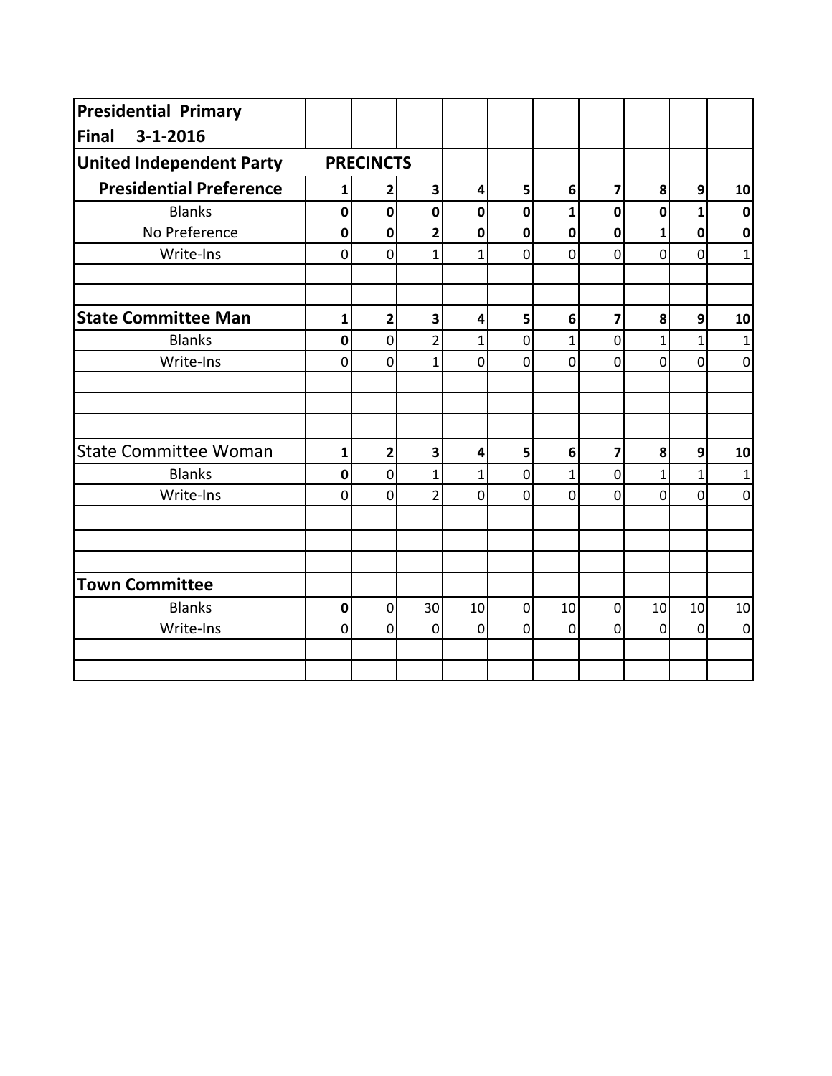| <b>Presidential Primary</b>     |              |                  |                |              |             |              |             |                |                |                  |
|---------------------------------|--------------|------------------|----------------|--------------|-------------|--------------|-------------|----------------|----------------|------------------|
| $3 - 1 - 2016$<br><b>Final</b>  |              |                  |                |              |             |              |             |                |                |                  |
| <b>United Independent Party</b> |              | <b>PRECINCTS</b> |                |              |             |              |             |                |                |                  |
| <b>Presidential Preference</b>  | 1            | 2                | 3              | 4            | 5           | 6            | 7           | 8              | 9              | 10               |
| <b>Blanks</b>                   | $\mathbf 0$  | $\mathbf 0$      | $\mathbf 0$    | $\mathbf 0$  | $\mathbf 0$ | $\mathbf{1}$ | $\mathbf 0$ | $\mathbf 0$    | 1              | $\mathbf 0$      |
| No Preference                   | $\mathbf 0$  | $\mathbf 0$      | $\overline{2}$ | $\mathbf 0$  | $\mathbf 0$ | $\mathbf 0$  | $\mathbf 0$ | $\mathbf{1}$   | $\mathbf 0$    | $\mathbf 0$      |
| Write-Ins                       | 0            | 0                | 1              | 1            | 0           | 0            | 0           | $\overline{0}$ | $\Omega$       | $\mathbf{1}$     |
| <b>State Committee Man</b>      | $\mathbf{1}$ | $\overline{2}$   | 3              | 4            | 5           | 6            | 7           | 8              | 9              | 10               |
| <b>Blanks</b>                   | $\mathbf 0$  | $\overline{0}$   | $\overline{2}$ | $\mathbf{1}$ | 0           | $\mathbf{1}$ | 0           | $\mathbf{1}$   | 1              | 1                |
| Write-Ins                       | $\mathbf 0$  | $\mathbf 0$      | $\overline{1}$ | $\mathbf 0$  | $\mathbf 0$ | $\mathbf 0$  | $\mathbf 0$ | $\mathbf 0$    | $\overline{0}$ | $\boldsymbol{0}$ |
|                                 |              |                  |                |              |             |              |             |                |                |                  |
| <b>State Committee Woman</b>    | 1            | $\overline{2}$   | 3              | 4            | 5           | 6            | 7           | 8              | 9              | 10               |
| <b>Blanks</b>                   | 0            | $\overline{0}$   | $\mathbf{1}$   | $\mathbf{1}$ | 0           | $\mathbf{1}$ | 0           | $\mathbf{1}$   | 1              | $\mathbf{1}$     |
| Write-Ins                       | $\mathbf 0$  | $\mathbf 0$      | $\overline{2}$ | 0            | $\mathbf 0$ | 0            | 0           | $\overline{0}$ | 0              | $\boldsymbol{0}$ |
|                                 |              |                  |                |              |             |              |             |                |                |                  |
| <b>Town Committee</b>           |              |                  |                |              |             |              |             |                |                |                  |
| <b>Blanks</b>                   | $\mathbf 0$  | 0                | 30             | 10           | $\mathbf 0$ | 10           | 0           | 10             | 10             | $10\,$           |
| Write-Ins                       | $\mathbf 0$  | $\mathbf 0$      | $\mathbf 0$    | $\mathbf 0$  | $\mathbf 0$ | $\mathbf 0$  | 0           | $\mathbf 0$    | $\overline{0}$ | $\mathbf 0$      |
|                                 |              |                  |                |              |             |              |             |                |                |                  |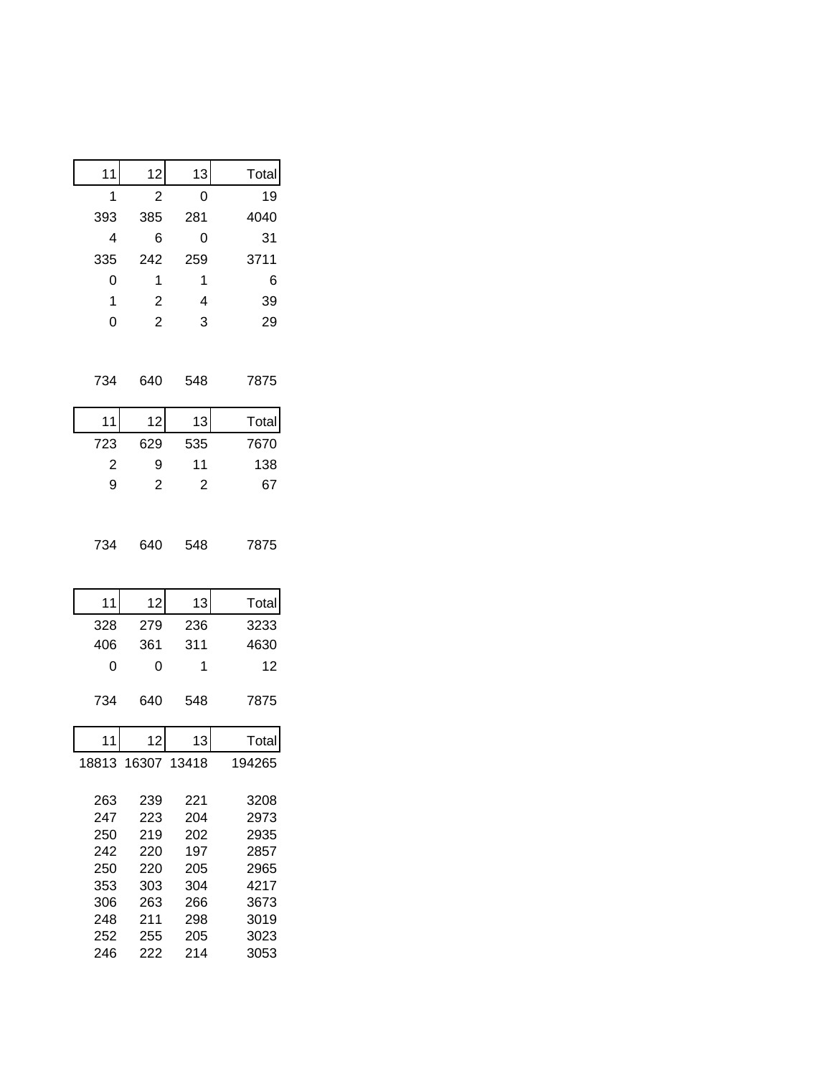| 11                      | 12                | 13             | Total        |
|-------------------------|-------------------|----------------|--------------|
| 1                       | $\overline{c}$    | 0              | 19           |
| 393                     | 385               | 281            | 4040         |
| $\overline{4}$          | 6                 | 0              | 31           |
| 335                     | 242               | 259            | 3711         |
| 0                       | 1                 | $\mathbf{1}$   | 6            |
| $\mathbf{1}$            | $\overline{c}$    | 4              | 39           |
| $\overline{0}$          | $\overline{2}$    | 3              | 29           |
|                         |                   |                |              |
| 734                     | 640               | 548            | 7875         |
| 11                      | 12                | 13             | Total        |
| 723                     | 629               | 535            | 7670         |
| $\overline{\mathbf{c}}$ | 9                 | 11             | 138          |
| 9                       | $\overline{c}$    | $\overline{c}$ | 67           |
| 734                     | 640               | 548            | 7875         |
| 11                      | 12                | 13             | Total        |
| 328                     | 279               | 236            | 3233         |
| 406                     | 361               | 311            | 4630         |
| 0                       | 0                 | 1              | 12           |
| 734                     | 640               | 548            | 7875         |
| 11                      | 12                | 13             | Total        |
|                         | 18813 16307 13418 |                | 194265       |
|                         |                   |                |              |
| 263                     | 239               | 221            | 3208         |
| 247<br>250              | 223<br>219        | 204<br>202     | 2973<br>2935 |
| 242                     | 220               | 197            | 2857         |
| 250                     | 220               | 205            | 2965         |
| 353                     | 303               | 304            | 4217         |
| 306                     | 263               | 266            | 3673         |
| 248                     | 211               | 298            | 3019         |
| 252                     | 255               | 205            | 3023         |
| 246                     | 222               | 214            | 3053         |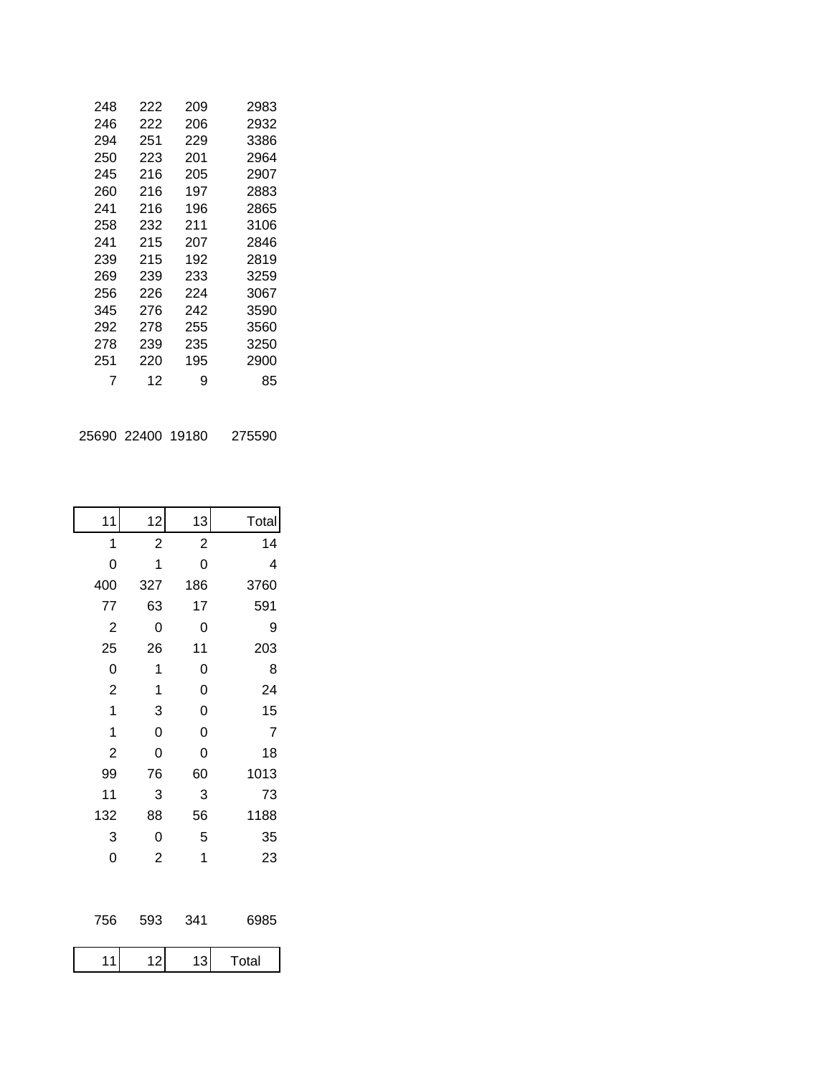| 248 | 222 | 209 | 2983 |
|-----|-----|-----|------|
| 246 | 222 | 206 | 2932 |
| 294 | 251 | 229 | 3386 |
| 250 | 223 | 201 | 2964 |
| 245 | 216 | 205 | 2907 |
| 260 | 216 | 197 | 2883 |
| 241 | 216 | 196 | 2865 |
| 258 | 232 | 211 | 3106 |
| 241 | 215 | 207 | 2846 |
| 239 | 215 | 192 | 2819 |
| 269 | 239 | 233 | 3259 |
| 256 | 226 | 224 | 3067 |
| 345 | 276 | 242 | 3590 |
| 292 | 278 | 255 | 3560 |
| 278 | 239 | 235 | 3250 |
| 251 | 220 | 195 | 2900 |
| 7   | 12  | 9   | 85   |
|     |     |     |      |
|     |     |     |      |

| 25690 22400 19180 | 275590 |
|-------------------|--------|
|-------------------|--------|

| 11             | 12             | 13             | Total |
|----------------|----------------|----------------|-------|
| 1              | $\overline{c}$ | $\overline{c}$ | 14    |
| 0              | 1              | 0              | 4     |
| 400            | 327            | 186            | 3760  |
| 77             | 63             | 17             | 591   |
| $\overline{c}$ | 0              | 0              | 9     |
| 25             | 26             | 11             | 203   |
| 0              | 1              | 0              | 8     |
| $\overline{c}$ | 1              | 0              | 24    |
| $\mathbf{1}$   | 3              | 0              | 15    |
| 1              | 0              | 0              | 7     |
| $\overline{c}$ | 0              | 0              | 18    |
| 99             | 76             | 60             | 1013  |
| 11             | 3              | 3              | 73    |
| 132            | 88             | 56             | 1188  |
| 3              | 0              | 5              | 35    |
| 0              | $\overline{c}$ | 1              | 23    |
| 756            | 593            | 341            | 6985  |
| 11             | 12             | 13             | Total |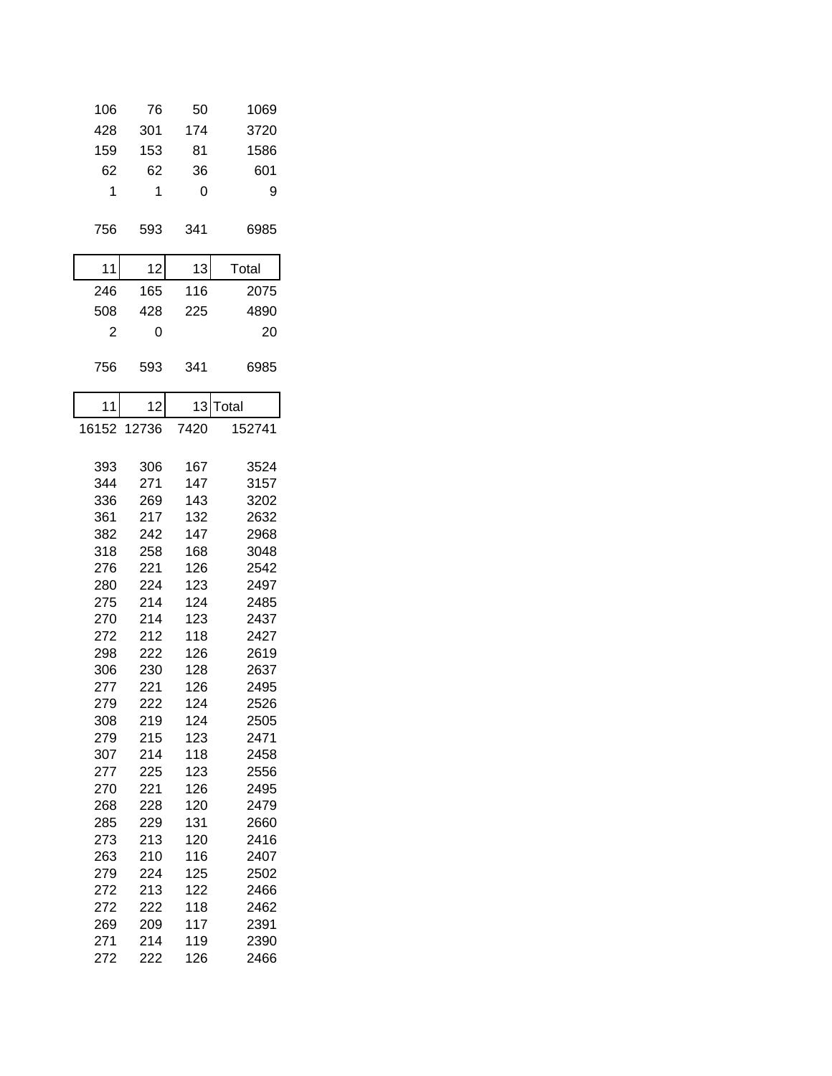| 106            | 76         | 50         | 1069         |
|----------------|------------|------------|--------------|
| 428            | 301        | 174        | 3720         |
| 159            | 153        | 81         | 1586         |
| 62             | 62         | 36         | 601          |
| 1              | 1          | 0          | 9            |
|                |            |            |              |
| 756            | 593        | 341        | 6985         |
|                |            |            |              |
| 11             | 12         | 13         | Total        |
| 246            | 165        | 116        | 2075         |
| 508            | 428        | 225        | 4890         |
| $\overline{2}$ | 0          |            | 20           |
| 756            | 593        | 341        | 6985         |
| 11             | 12         | 13         | Total        |
| 16152          | 12736      | 7420       | 152741       |
|                |            |            |              |
| 393            | 306        | 167        | 3524         |
| 344            | 271        | 147        | 3157         |
| 336            | 269        | 143        | 3202         |
| 361            | 217        | 132        | 2632         |
| 382            | 242        | 147        | 2968         |
| 318            | 258        | 168        | 3048         |
| 276            | 221        | 126        | 2542         |
| 280            | 224        | 123        | 2497         |
| 275            | 214        | 124        | 2485         |
| 270            | 214        | 123        | 2437         |
| 272            | 212        | 118        | 2427         |
| 298            | 222        | 126        | 2619         |
| 306            | 230        | 128        | 2637         |
| 277            | 221        | 126        | 2495         |
| 279            | 222        | 124        | 2526         |
| 308<br>279     | 219<br>215 | 124<br>123 | 2505<br>2471 |
| 307            | 214        | 118        | 2458         |
| 277            | 225        | 123        | 2556         |
| 270            | 221        | 126        | 2495         |
| 268            | 228        | 120        | 2479         |
| 285            | 229        | 131        | 2660         |
| 273            | 213        | 120        | 2416         |
| 263            | 210        | 116        | 2407         |
| 279            | 224        | 125        | 2502         |
| 272            | 213        | 122        | 2466         |
| 272            | 222        | 118        | 2462         |
| 269            | 209        | 117        | 2391         |
| 271            | 214        | 119        | 2390         |
| 272            | 222        | 126        | 2466         |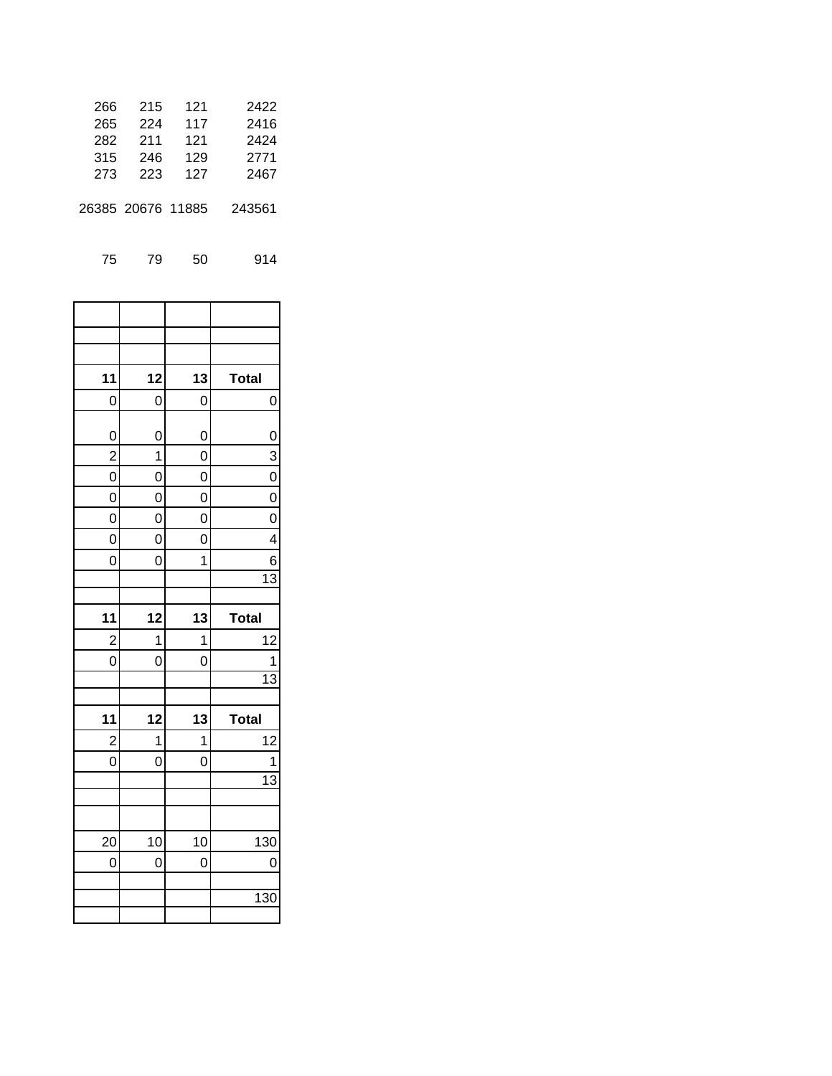| 266 | 215               | 121 | 2422   |
|-----|-------------------|-----|--------|
| 265 | 224               | 117 | 2416   |
| 282 | 211               | 121 | 2424   |
| 315 | 246               | 129 | 2771   |
| 273 | 223               | 127 | 2467   |
|     | 26385 20676 11885 |     | 243561 |
|     |                   |     |        |

75 79 50 914

| 11                      | 12 | 13 | <b>Total</b>    |
|-------------------------|----|----|-----------------|
| 0                       | 0  | 0  | 0               |
|                         |    |    |                 |
| $\mathbf 0$             | 0  | 0  | $\frac{0}{3}$   |
| $\overline{\mathbf{c}}$ | 1  | 0  |                 |
| 0                       | 0  | 0  |                 |
| 0                       | 0  | 0  | 0               |
| 0                       | 0  | 0  | 0               |
| 0                       | 0  | 0  | 4               |
| 0                       | 0  | 1  | 6               |
|                         |    |    | $\overline{13}$ |
|                         |    |    |                 |
|                         |    |    |                 |
| 11                      | 12 | 13 | <b>Total</b>    |
| $\overline{\mathbf{c}}$ | 1  | 1  | 12              |
| 0                       | 0  | 0  | 1               |
|                         |    |    | $\overline{13}$ |
|                         |    |    |                 |
| 11                      | 12 | 13 | <b>Total</b>    |
| $\overline{c}$          | 1  | 1  | 12              |
| 0                       | 0  | 0  | 1               |
|                         |    |    | $\overline{13}$ |
|                         |    |    |                 |
|                         |    |    |                 |
| 20                      | 10 | 10 | 130             |
| 0                       | 0  | 0  | 0               |
|                         |    |    |                 |
|                         |    |    | 130             |